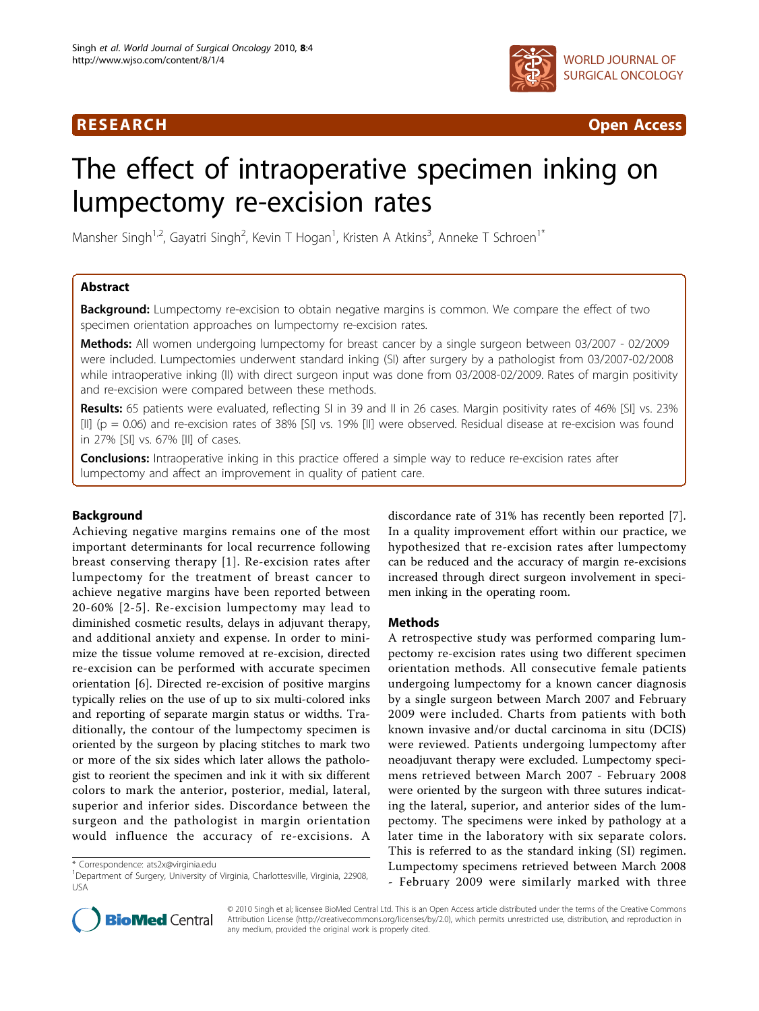

RESEARCH **CONTROL** CONTROL CONTROL CONTROL CONTROL CONTROL CONTROL CONTROL CONTROL CONTROL CONTROL CONTROL CONTROL CONTROL CONTROL CONTROL CONTROL CONTROL CONTROL CONTROL CONTROL CONTROL CONTROL CONTROL CONTROL CONTROL CON

# The effect of intraoperative specimen inking on lumpectomy re-excision rates

Mansher Singh<sup>1,2</sup>, Gayatri Singh<sup>2</sup>, Kevin T Hogan<sup>1</sup>, Kristen A Atkins<sup>3</sup>, Anneke T Schroen<sup>1\*</sup>

#### Abstract

**Background:** Lumpectomy re-excision to obtain negative margins is common. We compare the effect of two specimen orientation approaches on lumpectomy re-excision rates.

Methods: All women undergoing lumpectomy for breast cancer by a single surgeon between 03/2007 - 02/2009 were included. Lumpectomies underwent standard inking (SI) after surgery by a pathologist from 03/2007-02/2008 while intraoperative inking (II) with direct surgeon input was done from 03/2008-02/2009. Rates of margin positivity and re-excision were compared between these methods.

Results: 65 patients were evaluated, reflecting SI in 39 and II in 26 cases. Margin positivity rates of 46% [SI] vs. 23% [II] (p = 0.06) and re-excision rates of 38% [SI] vs. 19% [II] were observed. Residual disease at re-excision was found in 27% [SI] vs. 67% [II] of cases.

**Conclusions:** Intraoperative inking in this practice offered a simple way to reduce re-excision rates after lumpectomy and affect an improvement in quality of patient care.

#### Background

Achieving negative margins remains one of the most important determinants for local recurrence following breast conserving therapy [\[1](#page-3-0)]. Re-excision rates after lumpectomy for the treatment of breast cancer to achieve negative margins have been reported between 20-60% [[2](#page-3-0)-[5\]](#page-3-0). Re-excision lumpectomy may lead to diminished cosmetic results, delays in adjuvant therapy, and additional anxiety and expense. In order to minimize the tissue volume removed at re-excision, directed re-excision can be performed with accurate specimen orientation [[6](#page-3-0)]. Directed re-excision of positive margins typically relies on the use of up to six multi-colored inks and reporting of separate margin status or widths. Traditionally, the contour of the lumpectomy specimen is oriented by the surgeon by placing stitches to mark two or more of the six sides which later allows the pathologist to reorient the specimen and ink it with six different colors to mark the anterior, posterior, medial, lateral, superior and inferior sides. Discordance between the surgeon and the pathologist in margin orientation would influence the accuracy of re-excisions. A

discordance rate of 31% has recently been reported [[7](#page-3-0)]. In a quality improvement effort within our practice, we hypothesized that re-excision rates after lumpectomy can be reduced and the accuracy of margin re-excisions increased through direct surgeon involvement in specimen inking in the operating room.

#### Methods

A retrospective study was performed comparing lumpectomy re-excision rates using two different specimen orientation methods. All consecutive female patients undergoing lumpectomy for a known cancer diagnosis by a single surgeon between March 2007 and February 2009 were included. Charts from patients with both known invasive and/or ductal carcinoma in situ (DCIS) were reviewed. Patients undergoing lumpectomy after neoadjuvant therapy were excluded. Lumpectomy specimens retrieved between March 2007 - February 2008 were oriented by the surgeon with three sutures indicating the lateral, superior, and anterior sides of the lumpectomy. The specimens were inked by pathology at a later time in the laboratory with six separate colors. This is referred to as the standard inking (SI) regimen. Lumpectomy specimens retrieved between March 2008 - February 2009 were similarly marked with three



© 2010 Singh et al; licensee BioMed Central Ltd. This is an Open Access article distributed under the terms of the Creative Commons Attribution License [\(http://creativecommons.org/licenses/by/2.0](http://creativecommons.org/licenses/by/2.0)), which permits unrestricted use, distribution, and reproduction in any medium, provided the original work is properly cited.

<sup>\*</sup> Correspondence: [ats2x@virginia.edu](mailto:ats2x@virginia.edu)

<sup>&</sup>lt;sup>1</sup>Department of Surgery, University of Virginia, Charlottesville, Virginia, 22908, USA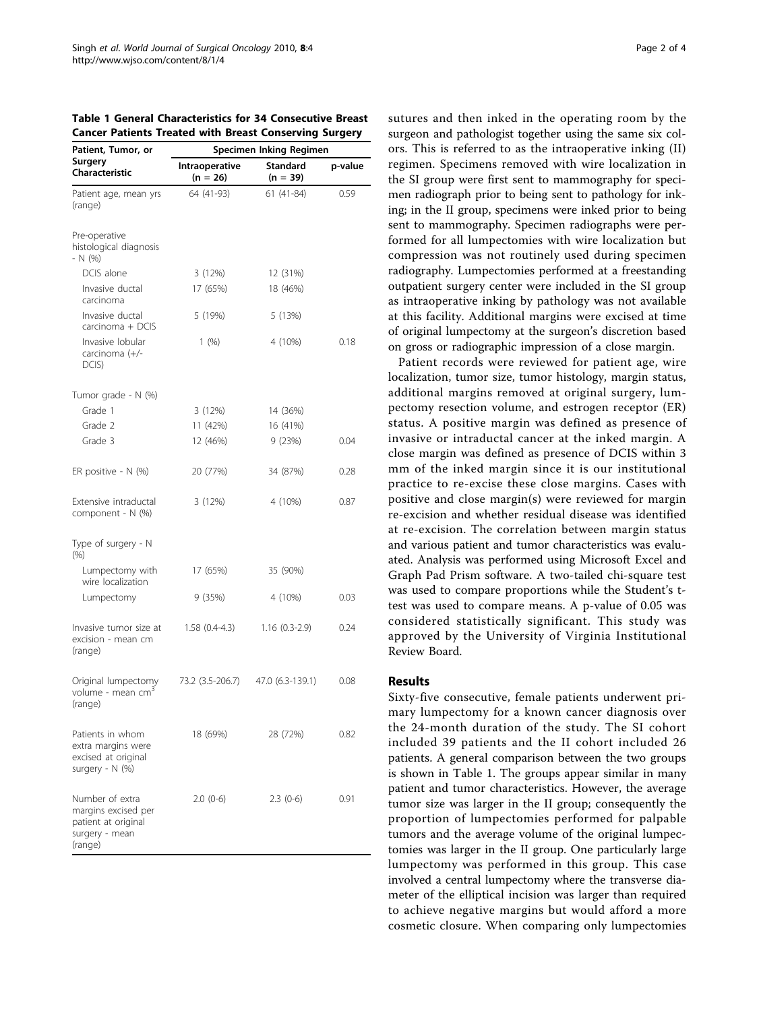| Patient, Tumor, or                                                                         | Cancer Patients Treated with Breast Conserving Surgery<br>Specimen Inking Regimen |                               |         |  |
|--------------------------------------------------------------------------------------------|-----------------------------------------------------------------------------------|-------------------------------|---------|--|
| Surgery<br>Characteristic                                                                  | Intraoperative<br>$(n = 26)$                                                      | <b>Standard</b><br>$(n = 39)$ | p-value |  |
| Patient age, mean yrs<br>(range)                                                           | 64 (41-93)                                                                        | 61 (41-84)                    | 0.59    |  |
| Pre-operative<br>histological diagnosis<br>- N (%)                                         |                                                                                   |                               |         |  |
| DCIS alone                                                                                 | 3 (12%)                                                                           | 12 (31%)                      |         |  |
| Invasive ductal<br>carcinoma                                                               | 17 (65%)                                                                          | 18 (46%)                      |         |  |
| Invasive ductal<br>carcinoma + DCIS                                                        | 5 (19%)                                                                           | 5 (13%)                       |         |  |
| Invasive lobular<br>carcinoma (+/-<br>DCIS)                                                | 1(96)                                                                             | 4 (10%)                       | 0.18    |  |
| Tumor grade - N (%)                                                                        |                                                                                   |                               |         |  |
| Grade 1                                                                                    | 3(12%)                                                                            | 14 (36%)                      |         |  |
| Grade 2                                                                                    | 11 (42%)                                                                          | 16 (41%)                      |         |  |
| Grade 3                                                                                    | 12 (46%)                                                                          | 9(23%)                        | 0.04    |  |
| ER positive - $N$ (%)                                                                      | 20 (77%)                                                                          | 34 (87%)                      | 0.28    |  |
| Extensive intraductal<br>component - N (%)                                                 | 3(12%)                                                                            | 4 (10%)                       | 0.87    |  |
| Type of surgery - N<br>(9/6)                                                               |                                                                                   |                               |         |  |
| Lumpectomy with<br>wire localization                                                       | 17 (65%)                                                                          | 35 (90%)                      |         |  |
| Lumpectomy                                                                                 | 9(35%)                                                                            | 4 (10%)                       | 0.03    |  |
| Invasive tumor size at<br>excision - mean cm<br>(range)                                    | $1.58(0.4-4.3)$                                                                   | $1.16(0.3-2.9)$               | 0.24    |  |
| Original lumpectomy<br>volume - mean cm <sup>3</sup><br>(range)                            | 73.2 (3.5-206.7)                                                                  | 47.0 (6.3-139.1)              | 0.08    |  |
| Patients in whom<br>extra margins were<br>excised at original<br>surgery - $N$ (%)         | 18 (69%)                                                                          | 28 (72%)                      | 0.82    |  |
| Number of extra<br>margins excised per<br>patient at original<br>surgery - mean<br>(range) | $2.0(0-6)$                                                                        | $2.3(0-6)$                    | 0.91    |  |

#### Table 1 General Characteristics for 34 Consecutive Breast Cancer Patients Treated with Breast Conserving Surgery

sutures and then inked in the operating room by the surgeon and pathologist together using the same six colors. This is referred to as the intraoperative inking (II) regimen. Specimens removed with wire localization in the SI group were first sent to mammography for specimen radiograph prior to being sent to pathology for inking; in the II group, specimens were inked prior to being sent to mammography. Specimen radiographs were performed for all lumpectomies with wire localization but compression was not routinely used during specimen radiography. Lumpectomies performed at a freestanding outpatient surgery center were included in the SI group as intraoperative inking by pathology was not available at this facility. Additional margins were excised at time of original lumpectomy at the surgeon's discretion based on gross or radiographic impression of a close margin.

Patient records were reviewed for patient age, wire localization, tumor size, tumor histology, margin status, additional margins removed at original surgery, lumpectomy resection volume, and estrogen receptor (ER) status. A positive margin was defined as presence of invasive or intraductal cancer at the inked margin. A close margin was defined as presence of DCIS within 3 mm of the inked margin since it is our institutional practice to re-excise these close margins. Cases with positive and close margin(s) were reviewed for margin re-excision and whether residual disease was identified at re-excision. The correlation between margin status and various patient and tumor characteristics was evaluated. Analysis was performed using Microsoft Excel and Graph Pad Prism software. A two-tailed chi-square test was used to compare proportions while the Student's ttest was used to compare means. A p-value of 0.05 was considered statistically significant. This study was approved by the University of Virginia Institutional Review Board.

### Results

Sixty-five consecutive, female patients underwent primary lumpectomy for a known cancer diagnosis over the 24-month duration of the study. The SI cohort included 39 patients and the II cohort included 26 patients. A general comparison between the two groups is shown in Table 1. The groups appear similar in many patient and tumor characteristics. However, the average tumor size was larger in the II group; consequently the proportion of lumpectomies performed for palpable tumors and the average volume of the original lumpectomies was larger in the II group. One particularly large lumpectomy was performed in this group. This case involved a central lumpectomy where the transverse diameter of the elliptical incision was larger than required to achieve negative margins but would afford a more cosmetic closure. When comparing only lumpectomies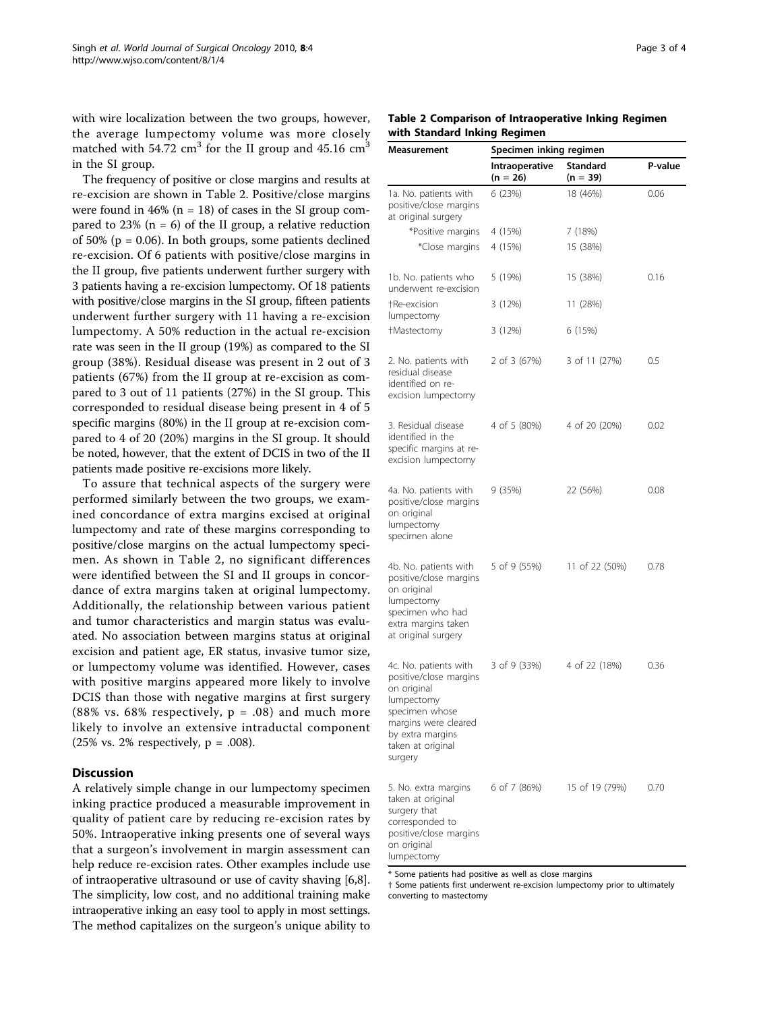with wire localization between the two groups, however, the average lumpectomy volume was more closely matched with 54.72  $\text{cm}^3$  for the II group and 45.16  $\text{cm}^3$ in the SI group.

The frequency of positive or close margins and results at re-excision are shown in Table 2. Positive/close margins were found in  $46\%$  (n = 18) of cases in the SI group compared to 23% ( $n = 6$ ) of the II group, a relative reduction of 50% ( $p = 0.06$ ). In both groups, some patients declined re-excision. Of 6 patients with positive/close margins in the II group, five patients underwent further surgery with 3 patients having a re-excision lumpectomy. Of 18 patients with positive/close margins in the SI group, fifteen patients underwent further surgery with 11 having a re-excision lumpectomy. A 50% reduction in the actual re-excision rate was seen in the II group (19%) as compared to the SI group (38%). Residual disease was present in 2 out of 3 patients (67%) from the II group at re-excision as compared to 3 out of 11 patients (27%) in the SI group. This corresponded to residual disease being present in 4 of 5 specific margins (80%) in the II group at re-excision compared to 4 of 20 (20%) margins in the SI group. It should be noted, however, that the extent of DCIS in two of the II patients made positive re-excisions more likely.

To assure that technical aspects of the surgery were performed similarly between the two groups, we examined concordance of extra margins excised at original lumpectomy and rate of these margins corresponding to positive/close margins on the actual lumpectomy specimen. As shown in Table 2, no significant differences were identified between the SI and II groups in concordance of extra margins taken at original lumpectomy. Additionally, the relationship between various patient and tumor characteristics and margin status was evaluated. No association between margins status at original excision and patient age, ER status, invasive tumor size, or lumpectomy volume was identified. However, cases with positive margins appeared more likely to involve DCIS than those with negative margins at first surgery (88% vs. 68% respectively,  $p = .08$ ) and much more likely to involve an extensive intraductal component (25% vs. 2% respectively,  $p = .008$ ).

#### **Discussion**

A relatively simple change in our lumpectomy specimen inking practice produced a measurable improvement in quality of patient care by reducing re-excision rates by 50%. Intraoperative inking presents one of several ways that a surgeon's involvement in margin assessment can help reduce re-excision rates. Other examples include use of intraoperative ultrasound or use of cavity shaving [\[6,8](#page-3-0)]. The simplicity, low cost, and no additional training make intraoperative inking an easy tool to apply in most settings. The method capitalizes on the surgeon's unique ability to

#### Table 2 Comparison of Intraoperative Inking Regimen with Standard Inking Regimen

| Measurement                                                                                                                                                                | Specimen inking regimen      |                        |         |  |
|----------------------------------------------------------------------------------------------------------------------------------------------------------------------------|------------------------------|------------------------|---------|--|
|                                                                                                                                                                            | Intraoperative<br>$(n = 26)$ | Standard<br>$(n = 39)$ | P-value |  |
| 1a. No. patients with<br>positive/close margins<br>at original surgery                                                                                                     | 6 (23%)                      | 18 (46%)               | 0.06    |  |
| *Positive margins                                                                                                                                                          | 4 (15%)                      | 7 (18%)                |         |  |
| *Close margins                                                                                                                                                             | 4 (15%)                      | 15 (38%)               |         |  |
| 1b. No. patients who<br>underwent re-excision                                                                                                                              | 5 (19%)                      | 15 (38%)               | 0.16    |  |
| †Re-excision<br>lumpectomy                                                                                                                                                 | 3 (12%)                      | 11 (28%)               |         |  |
| +Mastectomy                                                                                                                                                                | 3 (12%)                      | 6 (15%)                |         |  |
| 2. No. patients with<br>residual disease<br>identified on re-<br>excision lumpectomy                                                                                       | 2 of 3 (67%)                 | 3 of 11 (27%)          | 0.5     |  |
| 3. Residual disease<br>identified in the<br>specific margins at re-<br>excision lumpectomy                                                                                 | 4 of 5 (80%)                 | 4 of 20 (20%)          | 0.02    |  |
| 4a. No. patients with<br>positive/close margins<br>on original<br>lumpectomy<br>specimen alone                                                                             | 9 (35%)                      | 22 (56%)               | 0.08    |  |
| 4b. No. patients with<br>positive/close margins<br>on original<br>lumpectomy<br>specimen who had<br>extra margins taken<br>at original surgery                             | 5 of 9 (55%)                 | 11 of 22 (50%)         | 0.78    |  |
| 4c. No. patients with<br>positive/close margins<br>on original<br>lumpectomy<br>specimen whose<br>margins were cleared<br>by extra margins<br>taken at original<br>surgery | 3 of 9 (33%)                 | 4 of 22 (18%)          | 0.36    |  |
| 5. No. extra margins<br>taken at original<br>surgery that<br>corresponded to<br>positive/close margins<br>on original<br>lumpectomy                                        | 6 of 7 (86%)                 | 15 of 19 (79%)         | 0.70    |  |

\* Some patients had positive as well as close margins

† Some patients first underwent re-excision lumpectomy prior to ultimately converting to mastectomy